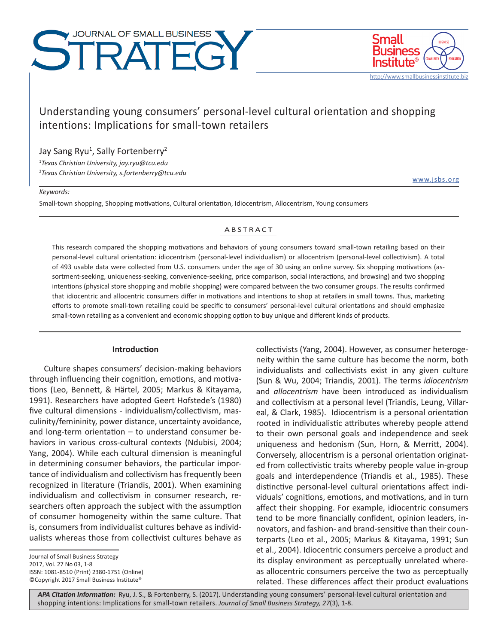# JOURNAL OF SMALL BUSINESS STRATEGY



www.jsbs.org

http://www.smallbusinessinstitute.biz

# Understanding young consumers' personal-level cultural orientation and shopping intentions: Implications for small-town retailers

# Jay Sang Ryu<sup>1</sup>, Sally Fortenberry<sup>2</sup>

1 *Texas Christian University, jay.ryu@tcu.edu*

2 *Texas Christian University, s.fortenberry@tcu.edu*

#### *Keywords:*

Small-town shopping, Shopping motivations, Cultural orientation, Idiocentrism, Allocentrism, Young consumers

#### ABSTRACT

This research compared the shopping motivations and behaviors of young consumers toward small-town retailing based on their personal-level cultural orientation: idiocentrism (personal-level individualism) or allocentrism (personal-level collectivism). A total of 493 usable data were collected from U.S. consumers under the age of 30 using an online survey. Six shopping motivations (assortment-seeking, uniqueness-seeking, convenience-seeking, price comparison, social interactions, and browsing) and two shopping intentions (physical store shopping and mobile shopping) were compared between the two consumer groups. The results confirmed that idiocentric and allocentric consumers differ in motivations and intentions to shop at retailers in small towns. Thus, marketing efforts to promote small-town retailing could be specific to consumers' personal-level cultural orientations and should emphasize small-town retailing as a convenient and economic shopping option to buy unique and different kinds of products.

# **Introduction**

Culture shapes consumers' decision-making behaviors through influencing their cognition, emotions, and motivations (Leo, Bennett, & Härtel, 2005; Markus & Kitayama, 1991). Researchers have adopted Geert Hofstede's (1980) five cultural dimensions - individualism/collectivism, masculinity/femininity, power distance, uncertainty avoidance, and long-term orientation – to understand consumer behaviors in various cross-cultural contexts (Ndubisi, 2004; Yang, 2004). While each cultural dimension is meaningful in determining consumer behaviors, the particular importance of individualism and collectivism has frequently been recognized in literature (Triandis, 2001). When examining individualism and collectivism in consumer research, researchers often approach the subject with the assumption of consumer homogeneity within the same culture. That is, consumers from individualist cultures behave as individualists whereas those from collectivist cultures behave as

Journal of Small Business Strategy 2017, Vol. 27 No 03, 1-8 ISSN: 1081-8510 (Print) 2380-1751 (Online) ©Copyright 2017 Small Business Institute®

collectivists (Yang, 2004). However, as consumer heterogeneity within the same culture has become the norm, both individualists and collectivists exist in any given culture (Sun & Wu, 2004; Triandis, 2001). The terms *idiocentrism* and *allocentrism* have been introduced as individualism and collectivism at a personal level (Triandis, Leung, Villareal, & Clark, 1985). Idiocentrism is a personal orientation rooted in individualistic attributes whereby people attend to their own personal goals and independence and seek uniqueness and hedonism (Sun, Horn, & Merritt, 2004). Conversely, allocentrism is a personal orientation originated from collectivistic traits whereby people value in-group goals and interdependence (Triandis et al., 1985). These distinctive personal-level cultural orientations affect individuals' cognitions, emotions, and motivations, and in turn affect their shopping. For example, idiocentric consumers tend to be more financially confident, opinion leaders, innovators, and fashion- and brand-sensitive than their counterparts (Leo et al., 2005; Markus & Kitayama, 1991; Sun et al., 2004). Idiocentric consumers perceive a product and its display environment as perceptually unrelated whereas allocentric consumers perceive the two as perceptually related. These differences affect their product evaluations

**APA Citation Information:** Ryu, J. S., & Fortenberry, S. (2017). Understanding young consumers' personal-level cultural orientation and shopping intentions: Implications for small-town retailers. *Journal of Small Business Strategy, 27*(3), 1-8.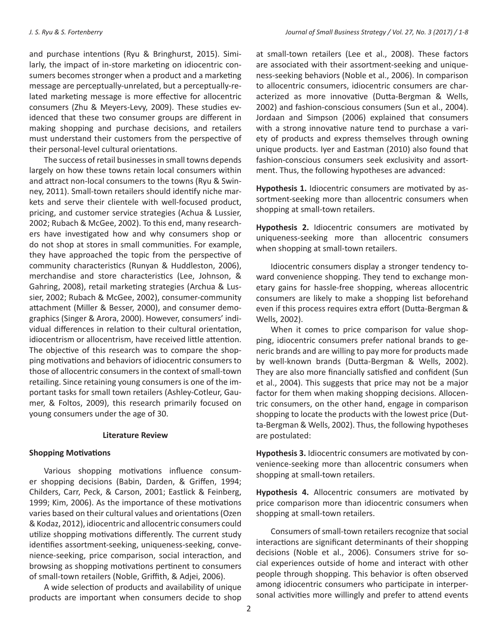and purchase intentions (Ryu & Bringhurst, 2015). Similarly, the impact of in-store marketing on idiocentric consumers becomes stronger when a product and a marketing message are perceptually-unrelated, but a perceptually-related marketing message is more effective for allocentric consumers (Zhu & Meyers-Levy, 2009). These studies evidenced that these two consumer groups are different in making shopping and purchase decisions, and retailers must understand their customers from the perspective of their personal-level cultural orientations.

The success of retail businesses in small towns depends largely on how these towns retain local consumers within and attract non-local consumers to the towns (Ryu & Swinney, 2011). Small-town retailers should identify niche markets and serve their clientele with well-focused product, pricing, and customer service strategies (Achua & Lussier, 2002; Rubach & McGee, 2002). To this end, many researchers have investigated how and why consumers shop or do not shop at stores in small communities. For example, they have approached the topic from the perspective of community characteristics (Runyan & Huddleston, 2006), merchandise and store characteristics (Lee, Johnson, & Gahring, 2008), retail marketing strategies (Archua & Lussier, 2002; Rubach & McGee, 2002), consumer-community attachment (Miller & Besser, 2000), and consumer demographics (Singer & Arora, 2000). However, consumers' individual differences in relation to their cultural orientation, idiocentrism or allocentrism, have received little attention. The objective of this research was to compare the shopping motivations and behaviors of idiocentric consumers to those of allocentric consumers in the context of small-town retailing. Since retaining young consumers is one of the important tasks for small town retailers (Ashley-Cotleur, Gaumer, & Foltos, 2009), this research primarily focused on young consumers under the age of 30.

#### **Literature Review**

# **Shopping Motivations**

Various shopping motivations influence consumer shopping decisions (Babin, Darden, & Griffen, 1994; Childers, Carr, Peck, & Carson, 2001; Eastlick & Feinberg, 1999; Kim, 2006). As the importance of these motivations varies based on their cultural values and orientations (Ozen & Kodaz, 2012), idiocentric and allocentric consumers could utilize shopping motivations differently. The current study identifies assortment-seeking, uniqueness-seeking, convenience-seeking, price comparison, social interaction, and browsing as shopping motivations pertinent to consumers of small-town retailers (Noble, Griffith, & Adjei, 2006).

A wide selection of products and availability of unique products are important when consumers decide to shop at small-town retailers (Lee et al., 2008). These factors are associated with their assortment-seeking and uniqueness-seeking behaviors (Noble et al., 2006). In comparison to allocentric consumers, idiocentric consumers are characterized as more innovative (Dutta-Bergman & Wells, 2002) and fashion-conscious consumers (Sun et al., 2004). Jordaan and Simpson (2006) explained that consumers with a strong innovative nature tend to purchase a variety of products and express themselves through owning unique products. Iyer and Eastman (2010) also found that fashion-conscious consumers seek exclusivity and assortment. Thus, the following hypotheses are advanced:

**Hypothesis 1.** Idiocentric consumers are motivated by assortment-seeking more than allocentric consumers when shopping at small-town retailers.

**Hypothesis 2.** Idiocentric consumers are motivated by uniqueness-seeking more than allocentric consumers when shopping at small-town retailers.

Idiocentric consumers display a stronger tendency toward convenience shopping. They tend to exchange monetary gains for hassle-free shopping, whereas allocentric consumers are likely to make a shopping list beforehand even if this process requires extra effort (Dutta-Bergman & Wells, 2002).

When it comes to price comparison for value shopping, idiocentric consumers prefer national brands to generic brands and are willing to pay more for products made by well-known brands (Dutta-Bergman & Wells, 2002). They are also more financially satisfied and confident (Sun et al., 2004). This suggests that price may not be a major factor for them when making shopping decisions. Allocentric consumers, on the other hand, engage in comparison shopping to locate the products with the lowest price (Dutta-Bergman & Wells, 2002). Thus, the following hypotheses are postulated:

**Hypothesis 3.** Idiocentric consumers are motivated by convenience-seeking more than allocentric consumers when shopping at small-town retailers.

**Hypothesis 4.** Allocentric consumers are motivated by price comparison more than idiocentric consumers when shopping at small-town retailers.

Consumers of small-town retailers recognize that social interactions are significant determinants of their shopping decisions (Noble et al., 2006). Consumers strive for social experiences outside of home and interact with other people through shopping. This behavior is often observed among idiocentric consumers who participate in interpersonal activities more willingly and prefer to attend events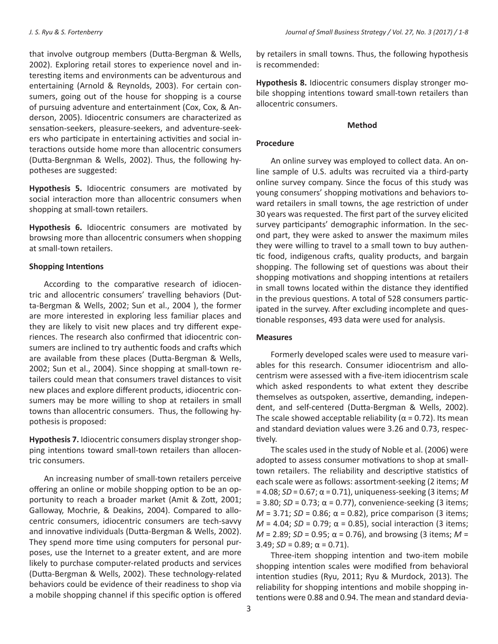that involve outgroup members (Dutta-Bergman & Wells, 2002). Exploring retail stores to experience novel and interesting items and environments can be adventurous and entertaining (Arnold & Reynolds, 2003). For certain consumers, going out of the house for shopping is a course of pursuing adventure and entertainment (Cox, Cox, & Anderson, 2005). Idiocentric consumers are characterized as sensation-seekers, pleasure-seekers, and adventure-seekers who participate in entertaining activities and social interactions outside home more than allocentric consumers (Dutta-Bergnman & Wells, 2002). Thus, the following hypotheses are suggested:

**Hypothesis 5.** Idiocentric consumers are motivated by social interaction more than allocentric consumers when shopping at small-town retailers.

**Hypothesis 6.** Idiocentric consumers are motivated by browsing more than allocentric consumers when shopping at small-town retailers.

# **Shopping Intentions**

According to the comparative research of idiocentric and allocentric consumers' travelling behaviors (Dutta-Bergman & Wells, 2002; Sun et al., 2004 ), the former are more interested in exploring less familiar places and they are likely to visit new places and try different experiences. The research also confirmed that idiocentric consumers are inclined to try authentic foods and crafts which are available from these places (Dutta-Bergman & Wells, 2002; Sun et al., 2004). Since shopping at small-town retailers could mean that consumers travel distances to visit new places and explore different products, idiocentric consumers may be more willing to shop at retailers in small towns than allocentric consumers. Thus, the following hypothesis is proposed:

**Hypothesis 7.** Idiocentric consumers display stronger shopping intentions toward small-town retailers than allocentric consumers.

An increasing number of small-town retailers perceive offering an online or mobile shopping option to be an opportunity to reach a broader market (Amit & Zott, 2001; Galloway, Mochrie, & Deakins, 2004). Compared to allocentric consumers, idiocentric consumers are tech-savvy and innovative individuals (Dutta-Bergman & Wells, 2002). They spend more time using computers for personal purposes, use the Internet to a greater extent, and are more likely to purchase computer-related products and services (Dutta-Bergman & Wells, 2002). These technology-related behaviors could be evidence of their readiness to shop via a mobile shopping channel if this specific option is offered

by retailers in small towns. Thus, the following hypothesis is recommended:

**Hypothesis 8.** Idiocentric consumers display stronger mobile shopping intentions toward small-town retailers than allocentric consumers.

# **Method**

# **Procedure**

An online survey was employed to collect data. An online sample of U.S. adults was recruited via a third-party online survey company. Since the focus of this study was young consumers' shopping motivations and behaviors toward retailers in small towns, the age restriction of under 30 years was requested. The first part of the survey elicited survey participants' demographic information. In the second part, they were asked to answer the maximum miles they were willing to travel to a small town to buy authentic food, indigenous crafts, quality products, and bargain shopping. The following set of questions was about their shopping motivations and shopping intentions at retailers in small towns located within the distance they identified in the previous questions. A total of 528 consumers participated in the survey. After excluding incomplete and questionable responses, 493 data were used for analysis.

# **Measures**

Formerly developed scales were used to measure variables for this research. Consumer idiocentrism and allocentrism were assessed with a five-item idiocentrism scale which asked respondents to what extent they describe themselves as outspoken, assertive, demanding, independent, and self-centered (Dutta-Bergman & Wells, 2002). The scale showed acceptable reliability ( $\alpha$  = 0.72). Its mean and standard deviation values were 3.26 and 0.73, respectively.

The scales used in the study of Noble et al. (2006) were adopted to assess consumer motivations to shop at smalltown retailers. The reliability and descriptive statistics of each scale were as follows: assortment-seeking (2 items; *M* = 4.08; *SD* = 0.67; α = 0.71), uniqueness-seeking (3 items; *M*   $= 3.80$ ; *SD* = 0.73; α = 0.77), convenience-seeking (3 items;  $M = 3.71$ ; *SD* = 0.86; α = 0.82), price comparison (3 items;  $M = 4.04$ ; *SD* = 0.79; α = 0.85), social interaction (3 items;  $M = 2.89$ ; *SD* = 0.95; α = 0.76), and browsing (3 items; *M* = 3.49;  $SD = 0.89$ ;  $\alpha = 0.71$ ).

Three-item shopping intention and two-item mobile shopping intention scales were modified from behavioral intention studies (Ryu, 2011; Ryu & Murdock, 2013). The reliability for shopping intentions and mobile shopping intentions were 0.88 and 0.94. The mean and standard devia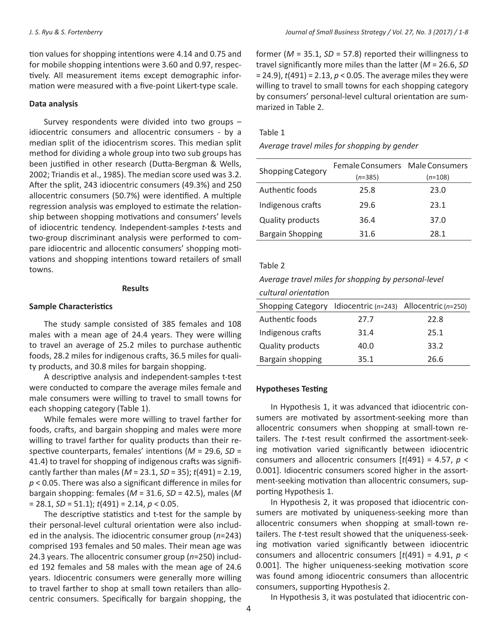tion values for shopping intentions were 4.14 and 0.75 and for mobile shopping intentions were 3.60 and 0.97, respectively. All measurement items except demographic information were measured with a five-point Likert-type scale.

#### **Data analysis**

Survey respondents were divided into two groups – idiocentric consumers and allocentric consumers - by a median split of the idiocentrism scores. This median split method for dividing a whole group into two sub groups has been justified in other research (Dutta-Bergman & Wells, 2002; Triandis et al., 1985). The median score used was 3.2. After the split, 243 idiocentric consumers (49.3%) and 250 allocentric consumers (50.7%) were identified. A multiple regression analysis was employed to estimate the relationship between shopping motivations and consumers' levels of idiocentric tendency. Independent-samples *t-*tests and two-group discriminant analysis were performed to compare idiocentric and allocentic consumers' shopping motivations and shopping intentions toward retailers of small towns.

#### **Results**

#### **Sample Characteristics**

The study sample consisted of 385 females and 108 males with a mean age of 24.4 years. They were willing to travel an average of 25.2 miles to purchase authentic foods, 28.2 miles for indigenous crafts, 36.5 miles for quality products, and 30.8 miles for bargain shopping.

A descriptive analysis and independent-samples t-test were conducted to compare the average miles female and male consumers were willing to travel to small towns for each shopping category (Table 1).

While females were more willing to travel farther for foods, crafts, and bargain shopping and males were more willing to travel farther for quality products than their respective counterparts, females' intentions (*M* = 29.6, *SD* = 41.4) to travel for shopping of indigenous crafts was significantly farther than males (*M* = 23.1, *SD* = 35); *t*(491) = 2.19, *p* < 0.05. There was also a significant difference in miles for bargain shopping: females (*M* = 31.6, *SD* = 42.5), males (*M*  = 28.1, *SD* = 51.1); *t*(491) = 2.14, *p* < 0.05.

The descriptive statistics and t-test for the sample by their personal-level cultural orientation were also included in the analysis. The idiocentric consumer group (*n*=243) comprised 193 females and 50 males. Their mean age was 24.3 years. The allocentric consumer group (*n*=250) included 192 females and 58 males with the mean age of 24.6 years. Idiocentric consumers were generally more willing to travel farther to shop at small town retailers than allocentric consumers. Specifically for bargain shopping, the

former ( $M = 35.1$ ,  $SD = 57.8$ ) reported their willingness to travel significantly more miles than the latter (*M* = 26.6, *SD*  = 24.9), *t*(491) = 2.13, *p* < 0.05. The average miles they were willing to travel to small towns for each shopping category by consumers' personal-level cultural orientation are summarized in Table 2.

#### Table 1

#### *Average travel miles for shopping by gender*

|                          | Female Consumers Male Consumers |           |
|--------------------------|---------------------------------|-----------|
| <b>Shopping Category</b> | $(n=385)$                       | $(n=108)$ |
| Authentic foods          | 25.8                            | 23.0      |
| Indigenous crafts        | 29.6                            | 23.1      |
| <b>Quality products</b>  | 36.4                            | 37.0      |
| <b>Bargain Shopping</b>  | 31.6                            | 28.1      |

#### Table 2

# *Average travel miles for shopping by personal-level*

| cultural orientation |  |
|----------------------|--|
|----------------------|--|

| Shopping Category Idiocentric $(n=243)$ Allocentric $(n=250)$ |      |      |
|---------------------------------------------------------------|------|------|
| Authentic foods                                               | 27.7 | 22.8 |
| Indigenous crafts                                             | 31.4 | 25.1 |
| <b>Quality products</b>                                       | 40.0 | 33.2 |
| Bargain shopping                                              | 35.1 | 26.6 |

## **Hypotheses Testing**

In Hypothesis 1, it was advanced that idiocentric consumers are motivated by assortment-seeking more than allocentric consumers when shopping at small-town retailers. The *t*-test result confirmed the assortment-seeking motivation varied significantly between idiocentric consumers and allocentric consumers [*t*(491) = 4.57, *p* < 0.001]. Idiocentric consumers scored higher in the assortment-seeking motivation than allocentric consumers, supporting Hypothesis 1.

In Hypothesis 2, it was proposed that idiocentric consumers are motivated by uniqueness-seeking more than allocentric consumers when shopping at small-town retailers. The *t*-test result showed that the uniqueness-seeking motivation varied significantly between idiocentric consumers and allocentric consumers [*t*(491) = 4.91, *p* < 0.001]. The higher uniqueness-seeking motivation score was found among idiocentric consumers than allocentric consumers, supporting Hypothesis 2.

In Hypothesis 3, it was postulated that idiocentric con-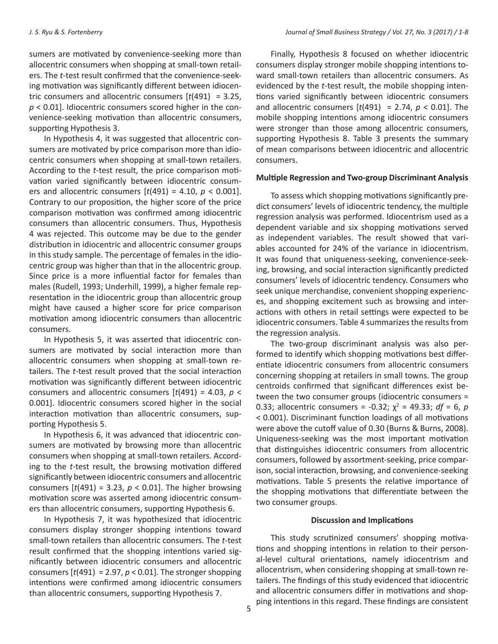sumers are motivated by convenience-seeking more than allocentric consumers when shopping at small-town retailers. The *t*-test result confirmed that the convenience-seeking motivation was significantly different between idiocentric consumers and allocentric consumers [*t*(491) = 3.25, *p* < 0.01]. Idiocentric consumers scored higher in the convenience-seeking motivation than allocentric consumers, supporting Hypothesis 3.

In Hypothesis 4, it was suggested that allocentric consumers are motivated by price comparison more than idiocentric consumers when shopping at small-town retailers. According to the *t*-test result, the price comparison motivation varied significantly between idiocentric consumers and allocentric consumers [*t*(491) = 4.10, *p* < 0.001]. Contrary to our proposition, the higher score of the price comparison motivation was confirmed among idiocentric consumers than allocentric consumers. Thus, Hypothesis 4 was rejected. This outcome may be due to the gender distribution in idiocentric and allocentric consumer groups in this study sample. The percentage of females in the idiocentric group was higher than that in the allocentric group. Since price is a more influential factor for females than males (Rudell, 1993; Underhill, 1999), a higher female representation in the idiocentric group than allocentric group might have caused a higher score for price comparison motivation among idiocentric consumers than allocentric consumers.

In Hypothesis 5, it was asserted that idiocentric consumers are motivated by social interaction more than allocentric consumers when shopping at small-town retailers. The *t*-test result proved that the social interaction motivation was significantly different between idiocentric consumers and allocentric consumers [*t*(491) = 4.03, *p* < 0.001]. Idiocentric consumers scored higher in the social interaction motivation than allocentric consumers, supporting Hypothesis 5.

In Hypothesis 6, it was advanced that idiocentric consumers are motivated by browsing more than allocentric consumers when shopping at small-town retailers. According to the *t*-test result, the browsing motivation differed significantly between idiocentric consumers and allocentric consumers  $[t(491) = 3.23, p < 0.01]$ . The higher browsing motivation score was asserted among idiocentric consumers than allocentric consumers, supporting Hypothesis 6.

In Hypothesis 7, it was hypothesized that idiocentric consumers display stronger shopping intentions toward small-town retailers than allocentric consumers. The *t*-test result confirmed that the shopping intentions varied significantly between idiocentric consumers and allocentric consumers  $[t(491) = 2.97, p < 0.01]$ . The stronger shopping intentions were confirmed among idiocentric consumers than allocentric consumers, supporting Hypothesis 7.

Finally, Hypothesis 8 focused on whether idiocentric consumers display stronger mobile shopping intentions toward small-town retailers than allocentric consumers. As evidenced by the *t*-test result, the mobile shopping intentions varied significantly between idiocentric consumers and allocentric consumers  $[t(491) = 2.74, p < 0.01]$ . The mobile shopping intentions among idiocentric consumers were stronger than those among allocentric consumers, supporting Hypothesis 8. Table 3 presents the summary of mean comparisons between idiocentric and allocentric consumers.

### **Multiple Regression and Two-group Discriminant Analysis**

To assess which shopping motivations significantly predict consumers' levels of idiocentric tendency, the multiple regression analysis was performed. Idiocentrism used as a dependent variable and six shopping motivations served as independent variables. The result showed that variables accounted for 24% of the variance in idiocentrism. It was found that uniqueness-seeking, convenience-seeking, browsing, and social interaction significantly predicted consumers' levels of idiocentric tendency. Consumers who seek unique merchandise, convenient shopping experiences, and shopping excitement such as browsing and interactions with others in retail settings were expected to be idiocentric consumers. Table 4 summarizes the results from the regression analysis.

The two-group discriminant analysis was also performed to identify which shopping motivations best differentiate idiocentric consumers from allocentric consumers concerning shopping at retailers in small towns. The group centroids confirmed that significant differences exist between the two consumer groups (idiocentric consumers = 0.33; allocentric consumers = -0.32;  $χ^2$  = 49.33;  $df = 6$ ,  $p$ < 0.001). Discriminant function loadings of all motivations were above the cutoff value of 0.30 (Burns & Burns, 2008). Uniqueness-seeking was the most important motivation that distinguishes idiocentric consumers from allocentric consumers, followed by assortment-seeking, price comparison, social interaction, browsing, and convenience-seeking motivations. Table 5 presents the relative importance of the shopping motivations that differentiate between the two consumer groups.

#### **Discussion and Implications**

This study scrutinized consumers' shopping motivations and shopping intentions in relation to their personal-level cultural orientations, namely idiocentrism and allocentrism, when considering shopping at small-town retailers. The findings of this study evidenced that idiocentric and allocentric consumers differ in motivations and shopping intentions in this regard. These findings are consistent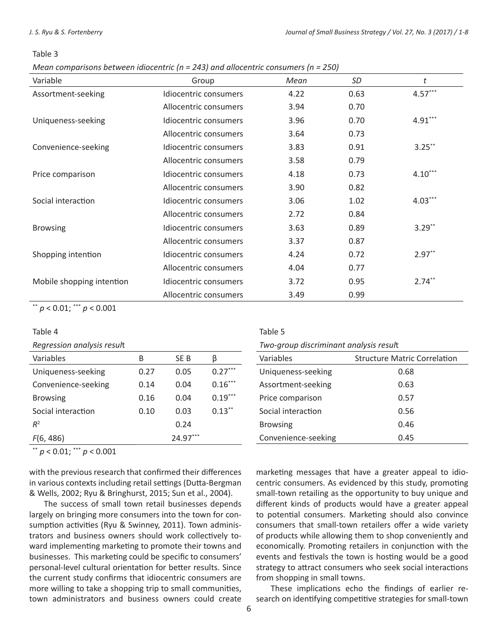#### Table 3

*Mean comparisons between idiocentric (n = 243) and allocentric consumers (n = 250)*

| Variable                  | Group                 | Mean | <b>SD</b> | t         |
|---------------------------|-----------------------|------|-----------|-----------|
| Assortment-seeking        | Idiocentric consumers | 4.22 | 0.63      | $4.57***$ |
|                           | Allocentric consumers | 3.94 | 0.70      |           |
| Uniqueness-seeking        | Idiocentric consumers | 3.96 | 0.70      | $4.91***$ |
|                           | Allocentric consumers | 3.64 | 0.73      |           |
| Convenience-seeking       | Idiocentric consumers | 3.83 | 0.91      | $3.25***$ |
|                           | Allocentric consumers | 3.58 | 0.79      |           |
| Price comparison          | Idiocentric consumers | 4.18 | 0.73      | $4.10***$ |
|                           | Allocentric consumers | 3.90 | 0.82      |           |
| Social interaction        | Idiocentric consumers | 3.06 | 1.02      | $4.03***$ |
|                           | Allocentric consumers | 2.72 | 0.84      |           |
| <b>Browsing</b>           | Idiocentric consumers | 3.63 | 0.89      | $3.29***$ |
|                           | Allocentric consumers | 3.37 | 0.87      |           |
| Shopping intention        | Idiocentric consumers | 4.24 | 0.72      | $2.97**$  |
|                           | Allocentric consumers | 4.04 | 0.77      |           |
| Mobile shopping intention | Idiocentric consumers | 3.72 | 0.95      | $2.74***$ |
|                           | Allocentric consumers | 3.49 | 0.99      |           |

\*\* *p* < 0.01; \*\*\* *p* < 0.001

#### Table 4

*Regression analysis resul*t

| Variables           | B    | SE B     | ß         |
|---------------------|------|----------|-----------|
| Uniqueness-seeking  | 0.27 | 0.05     | $0.27***$ |
| Convenience-seeking | 0.14 | 0.04     | $0.16***$ |
| <b>Browsing</b>     | 0.16 | 0.04     | $0.19***$ |
| Social interaction  | 0.10 | 0.03     | $0.13***$ |
| $R^2$               |      | 0.24     |           |
| F(6, 486)           |      | 24.97*** |           |

\*\* *p* < 0.01; \*\*\* *p* < 0.001

with the previous research that confirmed their differences in various contexts including retail settings (Dutta-Bergman & Wells, 2002; Ryu & Bringhurst, 2015; Sun et al., 2004).

The success of small town retail businesses depends largely on bringing more consumers into the town for consumption activities (Ryu & Swinney, 2011). Town administrators and business owners should work collectively toward implementing marketing to promote their towns and businesses. This marketing could be specific to consumers' personal-level cultural orientation for better results. Since the current study confirms that idiocentric consumers are more willing to take a shopping trip to small communities, town administrators and business owners could create

Table 5

| Two-group discriminant analysis result |  |  |  |
|----------------------------------------|--|--|--|
|----------------------------------------|--|--|--|

| Variables           | <b>Structure Matric Correlation</b> |
|---------------------|-------------------------------------|
| Uniqueness-seeking  | 0.68                                |
| Assortment-seeking  | 0.63                                |
| Price comparison    | 0.57                                |
| Social interaction  | 0.56                                |
| <b>Browsing</b>     | 0.46                                |
| Convenience-seeking | 0.45                                |

marketing messages that have a greater appeal to idiocentric consumers. As evidenced by this study, promoting small-town retailing as the opportunity to buy unique and different kinds of products would have a greater appeal to potential consumers. Marketing should also convince consumers that small-town retailers offer a wide variety of products while allowing them to shop conveniently and economically. Promoting retailers in conjunction with the events and festivals the town is hosting would be a good strategy to attract consumers who seek social interactions from shopping in small towns.

These implications echo the findings of earlier research on identifying competitive strategies for small-town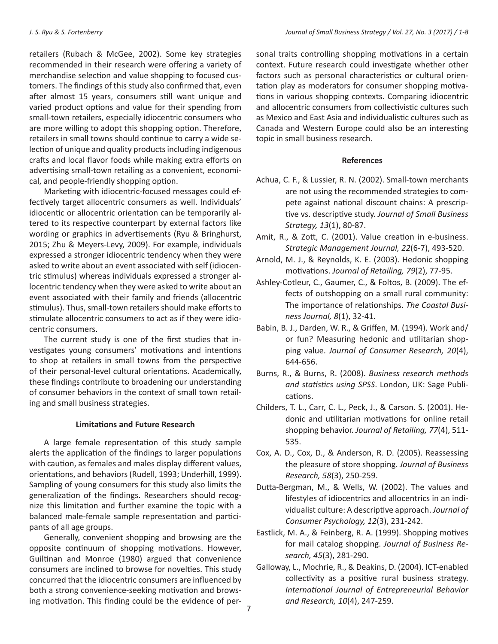retailers (Rubach & McGee, 2002). Some key strategies recommended in their research were offering a variety of merchandise selection and value shopping to focused customers. The findings of this study also confirmed that, even after almost 15 years, consumers still want unique and varied product options and value for their spending from small-town retailers, especially idiocentric consumers who are more willing to adopt this shopping option. Therefore, retailers in small towns should continue to carry a wide selection of unique and quality products including indigenous crafts and local flavor foods while making extra efforts on advertising small-town retailing as a convenient, economical, and people-friendly shopping option.

Marketing with idiocentric-focused messages could effectively target allocentric consumers as well. Individuals' idiocentic or allocentric orientation can be temporarily altered to its respective counterpart by external factors like wording or graphics in advertisements (Ryu & Bringhurst, 2015; Zhu & Meyers-Levy, 2009). For example, individuals expressed a stronger idiocentric tendency when they were asked to write about an event associated with self (idiocentric stimulus) whereas individuals expressed a stronger allocentric tendency when they were asked to write about an event associated with their family and friends (allocentric stimulus). Thus, small-town retailers should make efforts to stimulate allocentric consumers to act as if they were idiocentric consumers.

The current study is one of the first studies that investigates young consumers' motivations and intentions to shop at retailers in small towns from the perspective of their personal-level cultural orientations. Academically, these findings contribute to broadening our understanding of consumer behaviors in the context of small town retailing and small business strategies.

# **Limitations and Future Research**

A large female representation of this study sample alerts the application of the findings to larger populations with caution, as females and males display different values, orientations, and behaviors (Rudell, 1993; Underhill, 1999). Sampling of young consumers for this study also limits the generalization of the findings. Researchers should recognize this limitation and further examine the topic with a balanced male-female sample representation and participants of all age groups.

Generally, convenient shopping and browsing are the opposite continuum of shopping motivations. However, Guiltinan and Monroe (1980) argued that convenience consumers are inclined to browse for novelties. This study concurred that the idiocentric consumers are influenced by both a strong convenience-seeking motivation and browsing motivation. This finding could be the evidence of personal traits controlling shopping motivations in a certain context. Future research could investigate whether other factors such as personal characteristics or cultural orientation play as moderators for consumer shopping motivations in various shopping contexts. Comparing idiocentric and allocentric consumers from collectivistic cultures such as Mexico and East Asia and individualistic cultures such as Canada and Western Europe could also be an interesting topic in small business research.

#### **References**

- Achua, C. F., & Lussier, R. N. (2002). Small-town merchants are not using the recommended strategies to compete against national discount chains: A prescriptive vs. descriptive study. *Journal of Small Business Strategy, 13*(1), 80-87.
- Amit, R., & Zott, C. (2001). Value creation in e-business. *Strategic Management Journal, 22*(6-7), 493-520.
- Arnold, M. J., & Reynolds, K. E. (2003). Hedonic shopping motivations. *Journal of Retailing, 79*(2), 77-95.
- Ashley-Cotleur, C., Gaumer, C., & Foltos, B. (2009). The effects of outshopping on a small rural community: The importance of relationships. *The Coastal Business Journal, 8*(1), 32-41.
- Babin, B. J., Darden, W. R., & Griffen, M. (1994). Work and/ or fun? Measuring hedonic and utilitarian shopping value. *Journal of Consumer Research, 20*(4), 644-656.
- Burns, R., & Burns, R. (2008). *Business research methods and statistics using SPSS*. London, UK: Sage Publications.
- Childers, T. L., Carr, C. L., Peck, J., & Carson. S. (2001). Hedonic and utilitarian motivations for online retail shopping behavior. *Journal of Retailing, 77*(4), 511- 535.
- Cox, A. D., Cox, D., & Anderson, R. D. (2005). Reassessing the pleasure of store shopping. *Journal of Business Research, 58*(3), 250-259.
- Dutta-Bergman, M., & Wells, W. (2002). The values and lifestyles of idiocentrics and allocentrics in an individualist culture: A descriptive approach. *Journal of Consumer Psychology, 12*(3), 231-242.
- Eastlick, M. A., & Feinberg, R. A. (1999). Shopping motives for mail catalog shopping. *Journal of Business Research, 45*(3), 281-290.
- Galloway, L., Mochrie, R., & Deakins, D. (2004). ICT-enabled collectivity as a positive rural business strategy. *International Journal of Entrepreneurial Behavior and Research, 10*(4), 247-259.